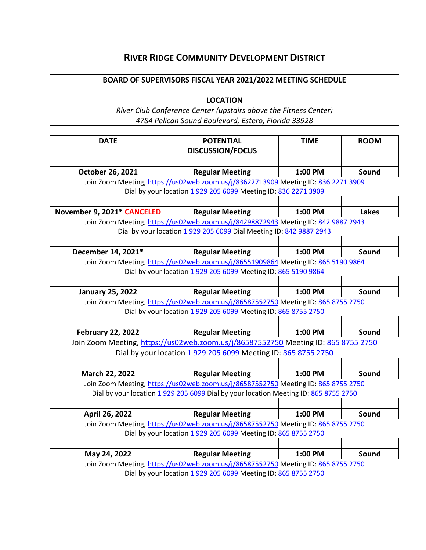## **RIVER RIDGE COMMUNITY DEVELOPMENT DISTRICT**

## **BOARD OF SUPERVISORS FISCAL YEAR 2021/2022 MEETING SCHEDULE**

**LOCATION** *River Club Conference Center (upstairs above the Fitness Center) 4784 Pelican Sound Boulevard, Estero, Florida 33928*

| <b>DATE</b>                | <b>POTENTIAL</b><br><b>DISCUSSION/FOCUS</b>                                                                                                                                | <b>TIME</b> | <b>ROOM</b>  |
|----------------------------|----------------------------------------------------------------------------------------------------------------------------------------------------------------------------|-------------|--------------|
| October 26, 2021           | <b>Regular Meeting</b>                                                                                                                                                     | 1:00 PM     | Sound        |
|                            | Join Zoom Meeting, https://us02web.zoom.us/j/83622713909 Meeting ID: 836 2271 3909<br>Dial by your location 1 929 205 6099 Meeting ID: 836 2271 3909                       |             |              |
| November 9, 2021* CANCELED | <b>Regular Meeting</b>                                                                                                                                                     | 1:00 PM     | <b>Lakes</b> |
|                            | Join Zoom Meeting, https://us02web.zoom.us/j/84298872943 Meeting ID: 842 9887 2943<br>Dial by your location 1 929 205 6099 Dial Meeting ID: 842 9887 2943                  |             |              |
| December 14, 2021*         | <b>Regular Meeting</b>                                                                                                                                                     | 1:00 PM     | Sound        |
|                            | Join Zoom Meeting, https://us02web.zoom.us/j/86551909864 Meeting ID: 865 5190 9864<br>Dial by your location 1 929 205 6099 Meeting ID: 865 5190 9864                       |             |              |
| <b>January 25, 2022</b>    | <b>Regular Meeting</b>                                                                                                                                                     | 1:00 PM     | Sound        |
|                            | Join Zoom Meeting, https://us02web.zoom.us/j/86587552750 Meeting ID: 865 8755 2750<br>Dial by your location 1 929 205 6099 Meeting ID: 865 8755 2750                       |             |              |
| <b>February 22, 2022</b>   | <b>Regular Meeting</b>                                                                                                                                                     | 1:00 PM     | Sound        |
|                            | Join Zoom Meeting, https://us02web.zoom.us/j/86587552750 Meeting ID: 865 8755 2750<br>Dial by your location 1 929 205 6099 Meeting ID: 865 8755 2750                       |             |              |
| March 22, 2022             | <b>Regular Meeting</b>                                                                                                                                                     | 1:00 PM     | Sound        |
|                            | Join Zoom Meeting, https://us02web.zoom.us/j/86587552750 Meeting ID: 865 8755 2750<br>Dial by your location 1 929 205 6099 Dial by your location Meeting ID: 865 8755 2750 |             |              |
| April 26, 2022             | <b>Regular Meeting</b>                                                                                                                                                     | 1:00 PM     | Sound        |
|                            | Join Zoom Meeting, https://us02web.zoom.us/j/86587552750 Meeting ID: 865 8755 2750<br>Dial by your location 1 929 205 6099 Meeting ID: 865 8755 2750                       |             |              |
| May 24, 2022               | <b>Regular Meeting</b>                                                                                                                                                     | 1:00 PM     | Sound        |
|                            | Join Zoom Meeting, https://us02web.zoom.us/j/86587552750 Meeting ID: 865 8755 2750<br>Dial by your location 1 929 205 6099 Meeting ID: 865 8755 2750                       |             |              |